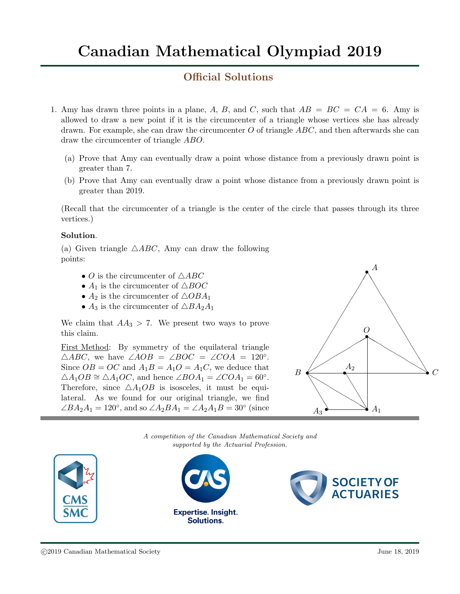# Canadian Mathematical Olympiad 2019

# Official Solutions

- 1. Amy has drawn three points in a plane, A, B, and C, such that  $AB = BC = CA = 6$ . Amy is allowed to draw a new point if it is the circumcenter of a triangle whose vertices she has already drawn. For example, she can draw the circumcenter O of triangle  $ABC$ , and then afterwards she can draw the circumcenter of triangle ABO.
	- (a) Prove that Amy can eventually draw a point whose distance from a previously drawn point is greater than 7.
	- (b) Prove that Amy can eventually draw a point whose distance from a previously drawn point is greater than 2019.

(Recall that the circumcenter of a triangle is the center of the circle that passes through its three vertices.)

### Solution.

(a) Given triangle  $\triangle ABC$ , Amy can draw the following points:

- O is the circumcenter of  $\triangle ABC$
- $A_1$  is the circumcenter of  $\triangle BOC$
- $A_2$  is the circumcenter of  $\triangle OBA_1$
- $A_3$  is the circumcenter of  $\triangle BA_2A_1$

We claim that  $AA_3 > 7$ . We present two ways to prove this claim.

First Method: By symmetry of the equilateral triangle  $\triangle ABC$ , we have  $\angle AOB = \angle BOC = \angle COA = 120^\circ$ . Since  $OB = OC$  and  $A_1B = A_1O = A_1C$ , we deduce that  $\triangle A_1OB \cong \triangle A_1OC$ , and hence  $\angle BOA_1 = \angle COA_1 = 60^\circ$ . Therefore, since  $\triangle A_1OB$  is isosceles, it must be equilateral. As we found for our original triangle, we find  $\angle BA_2A_1 = 120^\circ$ , and so  $\angle A_2BA_1 = \angle A_2A_1B = 30^\circ$  (since



A competition of the Canadian Mathematical Society and supported by the Actuarial Profession.



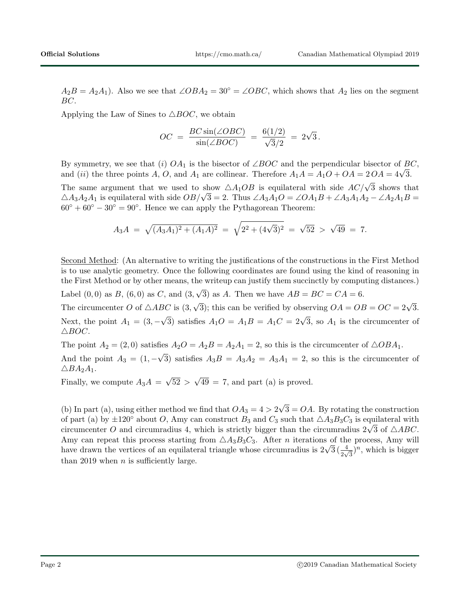$A_2B = A_2A_1$ . Also we see that  $\angle OBA_2 = 30^\circ = \angle OBC$ , which shows that  $A_2$  lies on the segment BC.

Applying the Law of Sines to  $\triangle BOC$ , we obtain

$$
OC = \frac{BC \sin(\angle OBC)}{\sin(\angle BOC)} = \frac{6(1/2)}{\sqrt{3}/2} = 2\sqrt{3}.
$$

By symmetry, we see that (i)  $OA_1$  is the bisector of ∠BOC and the perpendicular bisector of BC, by symmetry, we see that (*i*)  $OA_1$  is the bisector of  $\angle BOC$  and the perpendicular bisector of  $B_0$  and (*ii*) the three points A, O, and  $A_1$  are collinear. Therefore  $A_1A = A_1O + OA = 2OA = 4\sqrt{3}$ .

The same argument that we used to show  $\triangle A_1OB$  is equilateral with side  $AC/\sqrt{3}$  shows that The same argument that we used to show  $\triangle A_1$ OB is equilateral with side  $AC/\sqrt{3}$  shows that  $\triangle A_3A_2A_1$  is equilateral with side  $OB/\sqrt{3} = 2$ . Thus  $\angle A_3A_1O = \angle OA_1B + \angle A_3A_1A_2 - \angle A_2A_1B =$  $60^\circ + 60^\circ - 30^\circ = 90^\circ$ . Hence we can apply the Pythagorean Theorem:

$$
A_3A = \sqrt{(A_3A_1)^2 + (A_1A)^2} = \sqrt{2^2 + (4\sqrt{3})^2} = \sqrt{52} > \sqrt{49} = 7.
$$

Second Method: (An alternative to writing the justifications of the constructions in the First Method is to use analytic geometry. Once the following coordinates are found using the kind of reasoning in the First Method or by other means, the writeup can justify them succinctly by computing distances.) √

Label  $(0, 0)$  as  $B$ ,  $(6, 0)$  as  $C$ , and  $(3, 0)$ 3) as A. Then we have  $AB = BC = CA = 6$ .

The circumcenter O of  $\triangle ABC$  is (3,  $\sqrt{3}$ ; this can be verified by observing  $OA = OB = OC = 2\sqrt{3}$ . Next, the point  $A_1 = (3, -1)$  $\sqrt{3}$ ) satisfies  $A_1O = A_1B = A_1C = 2\sqrt{3}$ , so  $A_1$  is the circumcenter of  $\triangle BOC.$ 

The point  $A_2 = (2,0)$  satisfies  $A_2O = A_2B = A_2A_1 = 2$ , so this is the circumcenter of  $\triangle OBA_1$ . And the point  $A_3 = (1, -1)$ √ 3) satisfies  $A_3B = A_3A_2 = A_3A_1 = 2$ , so this is the circumcenter of  $\triangle BA_2A_1.$ 

Finally, we compute  $A_3A =$ √  $52 >$ √  $49 = 7$ , and part (a) is proved.

(b) In part (a), using either method we find that  $OA_3 = 4 > 2$ √  $3 = OA$ . By rotating the construction of part (a) by  $\pm 120^{\circ}$  about O, Amy can construct  $B_3$  and  $C_3$  such that  $\triangle A_3B_3C_3$  is equilateral with or part (a) by  $\pm$ 120 about O, Amy can construct  $B_3$  and  $C_3$  such that  $\triangle A_3D_3C_3$  is equilateral with circumcenter O and circumradius 4, which is strictly bigger than the circumradius  $2\sqrt{3}$  of  $\triangle ABC$ . Amy can repeat this process starting from  $\triangle A_3B_3C_3$ . After *n* iterations of the process, Amy will Amy can repeat this process starting from  $\triangle A_3B_3C_3$ . After *n* iterations of the process, Amy will have drawn the vertices of an equilateral triangle whose circumradius is  $2\sqrt{3}(\frac{4}{2\sqrt{3}})^n$ , which is bigger than 2019 when  $n$  is sufficiently large.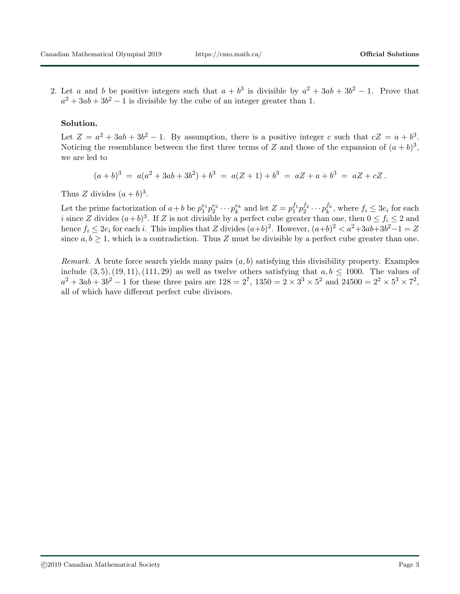2. Let a and b be positive integers such that  $a + b^3$  is divisible by  $a^2 + 3ab + 3b^2 - 1$ . Prove that  $a^2 + 3ab + 3b^2 - 1$  is divisible by the cube of an integer greater than 1.

### Solution.

Let  $Z = a^2 + 3ab + 3b^2 - 1$ . By assumption, there is a positive integer c such that  $cZ = a + b^3$ . Noticing the resemblance between the first three terms of Z and those of the expansion of  $(a + b)^3$ , we are led to

$$
(a+b)^3 = a(a^2+3ab+3b^2)+b^3 = a(Z+1)+b^3 = aZ+a+b^3 = aZ+cZ.
$$

Thus Z divides  $(a + b)^3$ .

Let the prime factorization of  $a+b$  be  $p_1^{e_1}p_2^{e_2}\cdots p_k^{e_k}$  and let  $Z=p_1^{f_1}p_2^{f_2}\cdots p_k^{f_k}$ , where  $f_i \leq 3e_i$  for each i since Z divides  $(a+b)^3$ . If Z is not divisible by a perfect cube greater than one, then  $0 \le f_i \le 2$  and hence  $f_i \le 2e_i$  for each i. This implies that Z divides  $(a+b)^2$ . However,  $(a+b)^2 < a^2+3ab+3b^2-1 = Z$ since  $a, b \ge 1$ , which is a contradiction. Thus Z must be divisible by a perfect cube greater than one.

*Remark.* A brute force search yields many pairs  $(a, b)$  satisfying this divisibility property. Examples include  $(3, 5), (19, 11), (111, 29)$  as well as twelve others satisfying that  $a, b \le 1000$ . The values of  $a^2 + 3ab + 3b^2 - 1$  for these three pairs are  $128 = 2^7$ ,  $1350 = 2 \times 3^3 \times 5^2$  and  $24500 = 2^2 \times 5^3 \times 7^2$ , all of which have different perfect cube divisors.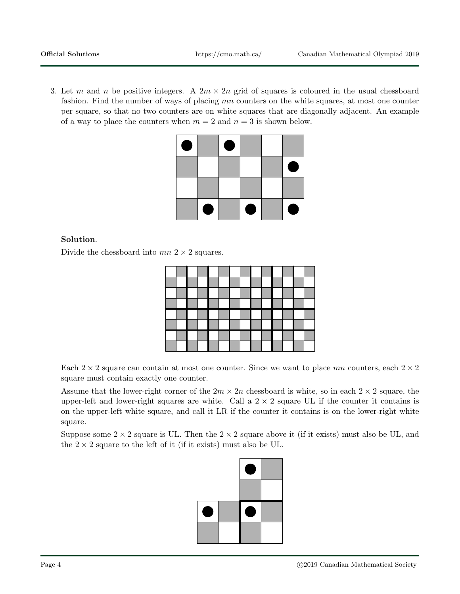3. Let m and n be positive integers. A  $2m \times 2n$  grid of squares is coloured in the usual chessboard fashion. Find the number of ways of placing mn counters on the white squares, at most one counter per square, so that no two counters are on white squares that are diagonally adjacent. An example of a way to place the counters when  $m = 2$  and  $n = 3$  is shown below.

| O |   | O |   |   |
|---|---|---|---|---|
|   |   |   |   | O |
|   |   |   |   |   |
|   | O |   | O | O |

## Solution.

Divide the chessboard into  $mn$  2  $\times$  2 squares.

Each  $2 \times 2$  square can contain at most one counter. Since we want to place mn counters, each  $2 \times 2$ square must contain exactly one counter.

Assume that the lower-right corner of the  $2m \times 2n$  chessboard is white, so in each  $2 \times 2$  square, the upper-left and lower-right squares are white. Call a  $2 \times 2$  square UL if the counter it contains is on the upper-left white square, and call it LR if the counter it contains is on the lower-right white square.

Suppose some  $2 \times 2$  square is UL. Then the  $2 \times 2$  square above it (if it exists) must also be UL, and the  $2 \times 2$  square to the left of it (if it exists) must also be UL.

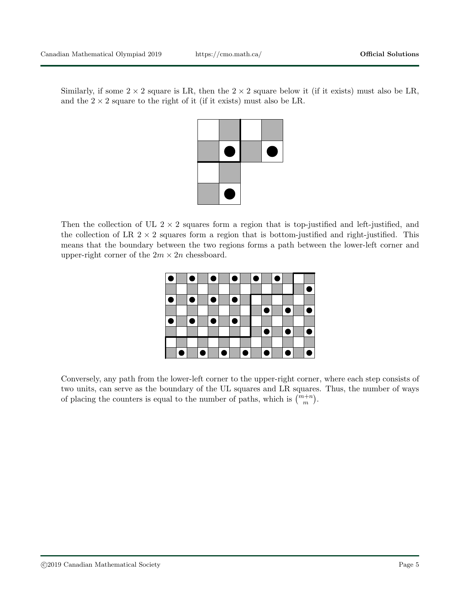Similarly, if some  $2 \times 2$  square is LR, then the  $2 \times 2$  square below it (if it exists) must also be LR, and the  $2 \times 2$  square to the right of it (if it exists) must also be LR.



Then the collection of UL  $2 \times 2$  squares form a region that is top-justified and left-justified, and the collection of LR  $2 \times 2$  squares form a region that is bottom-justified and right-justified. This means that the boundary between the two regions forms a path between the lower-left corner and upper-right corner of the  $2m \times 2n$  chessboard.

|   |   |           |           | $\bullet$ |           | O |   | $\bullet$ |    |           |   |
|---|---|-----------|-----------|-----------|-----------|---|---|-----------|----|-----------|---|
|   |   |           |           |           |           |   |   |           |    |           |   |
| ۸ |   | $\bullet$ |           | $\bullet$ |           |   |   |           |    |           |   |
|   |   |           |           |           |           |   |   |           | £  | г         |   |
|   |   | ٥         |           | ۰         |           |   |   |           |    |           |   |
|   |   |           |           |           |           |   |   |           |    | ٠         | ۰ |
|   |   |           |           |           |           |   |   |           |    |           |   |
|   | e |           | $\bullet$ |           | $\bullet$ |   | ● |           | I۰ | $\bullet$ | ● |

Conversely, any path from the lower-left corner to the upper-right corner, where each step consists of two units, can serve as the boundary of the UL squares and LR squares. Thus, the number of ways of placing the counters is equal to the number of paths, which is  $\binom{m+n}{m}$ .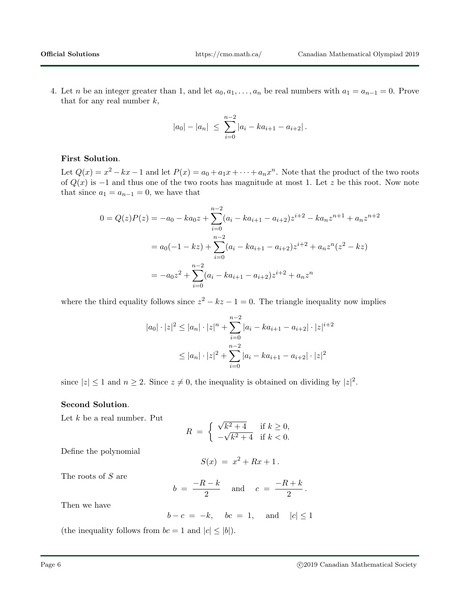4. Let *n* be an integer greater than 1, and let  $a_0, a_1, \ldots, a_n$  be real numbers with  $a_1 = a_{n-1} = 0$ . Prove that for any real number  $k$ ,

$$
|a_0| - |a_n| \leq \sum_{i=0}^{n-2} |a_i - ka_{i+1} - a_{i+2}|.
$$

#### First Solution.

Let  $Q(x) = x^2 - kx - 1$  and let  $P(x) = a_0 + a_1x + \cdots + a_nx^n$ . Note that the product of the two roots of  $Q(x)$  is  $-1$  and thus one of the two roots has magnitude at most 1. Let z be this root. Now note that since  $a_1 = a_{n-1} = 0$ , we have that

$$
0 = Q(z)P(z) = -a_0 - ka_0 z + \sum_{i=0}^{n-2} (a_i - ka_{i+1} - a_{i+2}) z^{i+2} - ka_n z^{n+1} + a_n z^{n+2}
$$
  
=  $a_0(-1 - kz) + \sum_{i=0}^{n-2} (a_i - ka_{i+1} - a_{i+2}) z^{i+2} + a_n z^n (z^2 - kz)$   
=  $-a_0 z^2 + \sum_{i=0}^{n-2} (a_i - ka_{i+1} - a_{i+2}) z^{i+2} + a_n z^n$ 

where the third equality follows since  $z^2 - kz - 1 = 0$ . The triangle inequality now implies

$$
|a_0| \cdot |z|^2 \le |a_n| \cdot |z|^n + \sum_{i=0}^{n-2} |a_i - ka_{i+1} - a_{i+2}| \cdot |z|^{i+2}
$$
  

$$
\le |a_n| \cdot |z|^2 + \sum_{i=0}^{n-2} |a_i - ka_{i+1} - a_{i+2}| \cdot |z|^2
$$

since  $|z| \leq 1$  and  $n \geq 2$ . Since  $z \neq 0$ , the inequality is obtained on dividing by  $|z|^2$ .

#### Second Solution.

Let  $k$  be a real number. Put

$$
R = \begin{cases} \sqrt{k^2 + 4} & \text{if } k \ge 0, \\ -\sqrt{k^2 + 4} & \text{if } k < 0. \end{cases}
$$

Define the polynomial

$$
S(x) = x^2 + Rx + 1.
$$

The roots of S are

$$
b = \frac{-R - k}{2} \quad \text{and} \quad c = \frac{-R + k}{2}.
$$

Then we have

$$
b - c = -k, \quad bc = 1, \quad \text{and} \quad |c| \le 1
$$

(the inequality follows from  $bc = 1$  and  $|c| \le |b|$ ).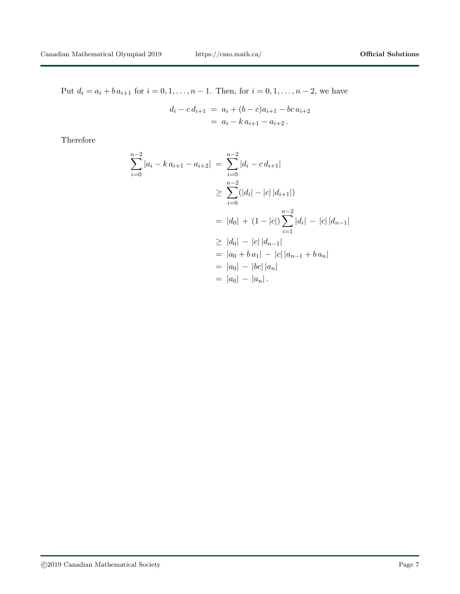Put  $d_i = a_i + b a_{i+1}$  for  $i = 0, 1, ..., n - 1$ . Then, for  $i = 0, 1, ..., n - 2$ , we have

$$
d_i - c d_{i+1} = a_i + (b - c)a_{i+1} - bc a_{i+2}
$$
  
=  $a_i - k a_{i+1} - a_{i+2}$ .

Therefore

$$
\sum_{i=0}^{n-2} |a_i - k a_{i+1} - a_{i+2}| = \sum_{i=0}^{n-2} |d_i - c d_{i+1}|
$$
  
\n
$$
\geq \sum_{i=0}^{n-2} (|d_i| - |c| |d_{i+1}|)
$$
  
\n
$$
= |d_0| + (1 - |c|) \sum_{i=1}^{n-2} |d_i| - |c| |d_{n-1}|
$$
  
\n
$$
\geq |d_0| - |c| |d_{n-1}|
$$
  
\n
$$
= |a_0 + ba_1| - |c| |a_{n-1} + ba_n|
$$
  
\n
$$
= |a_0| - |bc| |a_n|
$$
  
\n
$$
= |a_0| - |a_n|.
$$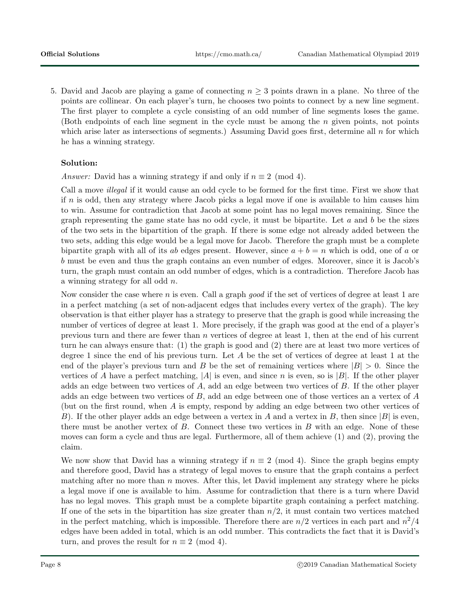5. David and Jacob are playing a game of connecting  $n \geq 3$  points drawn in a plane. No three of the points are collinear. On each player's turn, he chooses two points to connect by a new line segment. The first player to complete a cycle consisting of an odd number of line segments loses the game. (Both endpoints of each line segment in the cycle must be among the  $n$  given points, not points which arise later as intersections of segments.) Assuming David goes first, determine all  $n$  for which he has a winning strategy.

# Solution:

Answer: David has a winning strategy if and only if  $n \equiv 2 \pmod{4}$ .

Call a move illegal if it would cause an odd cycle to be formed for the first time. First we show that if n is odd, then any strategy where Jacob picks a legal move if one is available to him causes him to win. Assume for contradiction that Jacob at some point has no legal moves remaining. Since the graph representing the game state has no odd cycle, it must be bipartite. Let  $a$  and  $b$  be the sizes of the two sets in the bipartition of the graph. If there is some edge not already added between the two sets, adding this edge would be a legal move for Jacob. Therefore the graph must be a complete bipartite graph with all of its ab edges present. However, since  $a + b = n$  which is odd, one of a or b must be even and thus the graph contains an even number of edges. Moreover, since it is Jacob's turn, the graph must contain an odd number of edges, which is a contradiction. Therefore Jacob has a winning strategy for all odd n.

Now consider the case where n is even. Call a graph good if the set of vertices of degree at least 1 are in a perfect matching (a set of non-adjacent edges that includes every vertex of the graph). The key observation is that either player has a strategy to preserve that the graph is good while increasing the number of vertices of degree at least 1. More precisely, if the graph was good at the end of a player's previous turn and there are fewer than n vertices of degree at least 1, then at the end of his current turn he can always ensure that: (1) the graph is good and (2) there are at least two more vertices of degree 1 since the end of his previous turn. Let A be the set of vertices of degree at least 1 at the end of the player's previous turn and B be the set of remaining vertices where  $|B| > 0$ . Since the vertices of A have a perfect matching, |A| is even, and since n is even, so is |B|. If the other player adds an edge between two vertices of A, add an edge between two vertices of B. If the other player adds an edge between two vertices of  $B$ , add an edge between one of those vertices an a vertex of  $A$ (but on the first round, when A is empty, respond by adding an edge between two other vertices of B). If the other player adds an edge between a vertex in A and a vertex in B, then since  $|B|$  is even, there must be another vertex of  $B$ . Connect these two vertices in  $B$  with an edge. None of these moves can form a cycle and thus are legal. Furthermore, all of them achieve (1) and (2), proving the claim.

We now show that David has a winning strategy if  $n \equiv 2 \pmod{4}$ . Since the graph begins empty and therefore good, David has a strategy of legal moves to ensure that the graph contains a perfect matching after no more than  $n$  moves. After this, let David implement any strategy where he picks a legal move if one is available to him. Assume for contradiction that there is a turn where David has no legal moves. This graph must be a complete bipartite graph containing a perfect matching. If one of the sets in the bipartition has size greater than  $n/2$ , it must contain two vertices matched in the perfect matching, which is impossible. Therefore there are  $n/2$  vertices in each part and  $n^2/4$ edges have been added in total, which is an odd number. This contradicts the fact that it is David's turn, and proves the result for  $n \equiv 2 \pmod{4}$ .